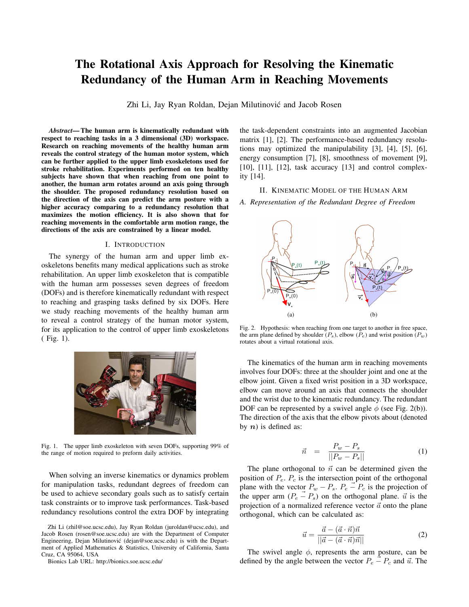# The Rotational Axis Approach for Resolving the Kinematic Redundancy of the Human Arm in Reaching Movements

Zhi Li, Jay Ryan Roldan, Dejan Milutinovic and Jacob Rosen ´

*Abstract*— The human arm is kinematically redundant with respect to reaching tasks in a 3 dimensional (3D) workspace. Research on reaching movements of the healthy human arm reveals the control strategy of the human motor system, which can be further applied to the upper limb exoskeletons used for stroke rehabilitation. Experiments performed on ten healthy subjects have shown that when reaching from one point to another, the human arm rotates around an axis going through the shoulder. The proposed redundancy resolution based on the direction of the axis can predict the arm posture with a higher accuracy comparing to a redundancy resolution that maximizes the motion efficiency. It is also shown that for reaching movements in the comfortable arm motion range, the directions of the axis are constrained by a linear model.

#### I. INTRODUCTION

The synergy of the human arm and upper limb exoskeletons benefits many medical applications such as stroke rehabilitation. An upper limb exoskeleton that is compatible with the human arm possesses seven degrees of freedom (DOFs) and is therefore kinematically redundant with respect to reaching and grasping tasks defined by six DOFs. Here we study reaching movements of the healthy human arm to reveal a control strategy of the human motor system, for its application to the control of upper limb exoskeletons ( Fig. 1).



Fig. 1. The upper limb exoskeleton with seven DOFs, supporting 99% of the range of motion required to preform daily activities.

When solving an inverse kinematics or dynamics problem for manipulation tasks, redundant degrees of freedom can be used to achieve secondary goals such as to satisfy certain task constraints or to improve task performances. Task-based redundancy resolutions control the extra DOF by integrating

Zhi Li (zhil@soe.ucsc.edu), Jay Ryan Roldan (juroldan@ucsc.edu), and Jacob Rosen (rosen@soe.ucsc.edu) are with the Department of Computer Engineering, Dejan Milutinović (dejan@soe.ucsc.edu) is with the Department of Applied Mathematics & Statistics, University of California, Santa Cruz, CA 95064, USA

Bionics Lab URL: http://bionics.soe.ucsc.edu/

the task-dependent constraints into an augmented Jacobian matrix [1], [2]. The performance-based redundancy resolutions may optimized the manipulability [3], [4], [5], [6], energy consumption [7], [8], smoothness of movement [9], [10], [11], [12], task accuracy [13] and control complexity [14].

## II. KINEMATIC MODEL OF THE HUMAN ARM

*A. Representation of the Redundant Degree of Freedom*



Fig. 2. Hypothesis: when reaching from one target to another in free space, the arm plane defined by shoulder  $(P_s)$ , elbow  $(P_e)$  and wrist position  $(P_w)$ rotates about a virtual rotational axis.

The kinematics of the human arm in reaching movements involves four DOFs: three at the shoulder joint and one at the elbow joint. Given a fixed wrist position in a 3D workspace, elbow can move around an axis that connects the shoulder and the wrist due to the kinematic redundancy. The redundant DOF can be represented by a swivel angle  $\phi$  (see Fig. 2(b)). The direction of the axis that the elbow pivots about (denoted by  $n)$  is defined as:

$$
\vec{n} = \frac{P_w - P_s}{||P_w - P_s||} \tag{1}
$$

The plane orthogonal to  $\vec{n}$  can be determined given the position of  $P_e$ .  $P_c$  is the intersection point of the orthogonal plane with the vector  $P_w - P_s$ .  $P_e \stackrel{\rightharpoonup}{-} P_c$  is the projection of the upper arm  $(P_e \vec{P}_s)$  on the orthogonal plane.  $\vec{u}$  is the projection of a normalized reference vector  $\vec{a}$  onto the plane orthogonal, which can be calculated as:

$$
\vec{u} = \frac{\vec{a} - (\vec{a} \cdot \vec{n})\vec{n}}{||\vec{a} - (\vec{a} \cdot \vec{n})\vec{n}||}
$$
(2)

The swivel angle  $\phi$ , represents the arm posture, can be defined by the angle between the vector  $P_e \stackrel{\triangle}{-} P_c$  and  $\vec{u}$ . The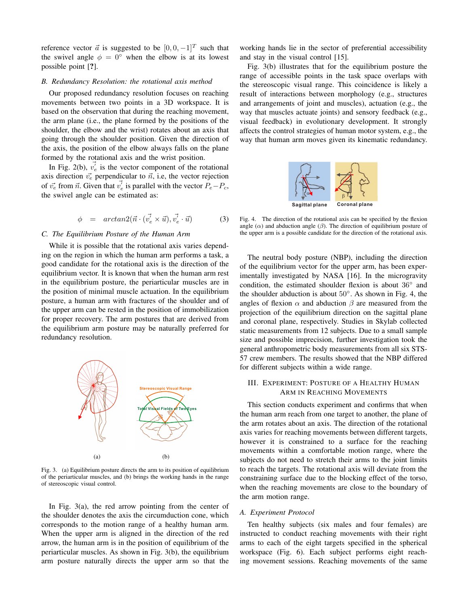reference vector  $\vec{a}$  is suggested to be  $[0, 0, -1]^T$  such that the swivel angle  $\phi = 0^{\circ}$  when the elbow is at its lowest possible point [?].

# *B. Redundancy Resolution: the rotational axis method*

Our proposed redundancy resolution focuses on reaching movements between two points in a 3D workspace. It is based on the observation that during the reaching movement, the arm plane (i.e., the plane formed by the positions of the shoulder, the elbow and the wrist) rotates about an axis that going through the shoulder position. Given the direction of the axis, the position of the elbow always falls on the plane formed by the rotational axis and the wrist position.

In Fig. 2(b),  $v_e^{\prime}$  is the vector component of the rotational axis direction  $\vec{v_e}$  perpendicular to  $\vec{n}$ , i.e, the vector rejection of  $v_e$  from  $\vec{n}$ . Given that  $v_e^{\vec{i}}$  is parallel with the vector  $\vec{P}_e - \vec{P}_c$ , the swivel angle can be estimated as:

$$
\phi = arctan 2(\vec{n} \cdot (\vec{v_e'} \times \vec{u}), \vec{v_e'} \cdot \vec{u}) \tag{3}
$$

## *C. The Equilibrium Posture of the Human Arm*

While it is possible that the rotational axis varies depending on the region in which the human arm performs a task, a good candidate for the rotational axis is the direction of the equilibrium vector. It is known that when the human arm rest in the equilibrium posture, the periarticular muscles are in the position of minimal muscle actuation. In the equilibrium posture, a human arm with fractures of the shoulder and of the upper arm can be rested in the position of immobilization for proper recovery. The arm postures that are derived from the equilibrium arm posture may be naturally preferred for redundancy resolution.



Fig. 3. (a) Equilibrium posture directs the arm to its position of equilibrium of the periarticular muscles, and (b) brings the working hands in the range of stereoscopic visual control.

In Fig. 3(a), the red arrow pointing from the center of the shoulder denotes the axis the circumduction cone, which corresponds to the motion range of a healthy human arm. When the upper arm is aligned in the direction of the red arrow, the human arm is in the position of equilibrium of the periarticular muscles. As shown in Fig. 3(b), the equilibrium arm posture naturally directs the upper arm so that the

working hands lie in the sector of preferential accessibility and stay in the visual control [15].

Fig. 3(b) illustrates that for the equilibrium posture the range of accessible points in the task space overlaps with the stereoscopic visual range. This coincidence is likely a result of interactions between morphology (e.g., structures and arrangements of joint and muscles), actuation (e.g., the way that muscles actuate joints) and sensory feedback (e.g., visual feedback) in evolutionary development. It strongly affects the control strategies of human motor system, e.g., the way that human arm moves given its kinematic redundancy.



Fig. 4. The direction of the rotational axis can be specified by the flexion angle  $(\alpha)$  and abduction angle  $(\beta)$ . The direction of equilibrium posture of the upper arm is a possible candidate for the direction of the rotational axis.

The neutral body posture (NBP), including the direction of the equilibrium vector for the upper arm, has been experimentally investigated by NASA [16]. In the microgravity condition, the estimated shoulder flexion is about 36◦ and the shoulder abduction is about  $50^\circ$ . As shown in Fig. 4, the angles of flexion  $\alpha$  and abduction  $\beta$  are measured from the projection of the equilibrium direction on the sagittal plane and coronal plane, respectively. Studies in Skylab collected static measurements from 12 subjects. Due to a small sample size and possible imprecision, further investigation took the general anthropometric body measurements from all six STS-57 crew members. The results showed that the NBP differed for different subjects within a wide range.

# III. EXPERIMENT: POSTURE OF A HEALTHY HUMAN ARM IN REACHING MOVEMENTS

This section conducts experiment and confirms that when the human arm reach from one target to another, the plane of the arm rotates about an axis. The direction of the rotational axis varies for reaching movements between different targets, however it is constrained to a surface for the reaching movements within a comfortable motion range, where the subjects do not need to stretch their arms to the joint limits to reach the targets. The rotational axis will deviate from the constraining surface due to the blocking effect of the torso, when the reaching movements are close to the boundary of the arm motion range.

## *A. Experiment Protocol*

Ten healthy subjects (six males and four females) are instructed to conduct reaching movements with their right arms to each of the eight targets specified in the spherical workspace (Fig. 6). Each subject performs eight reaching movement sessions. Reaching movements of the same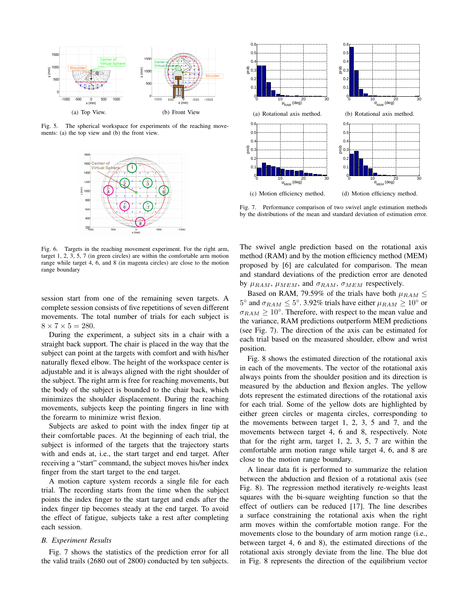

Fig. 5. The spherical workspace for experiments of the reaching movements: (a) the top view and (b) the front view.



Fig. 6. Targets in the reaching movement experiment. For the right arm, target 1, 2, 3, 5, 7 (in green circles) are within the comfortable arm motion range while target 4, 6, and 8 (in magenta circles) are close to the motion range boundary

session start from one of the remaining seven targets. A complete session consists of five repetitions of seven different movements. The total number of trials for each subject is  $8 \times 7 \times 5 = 280.$ 

During the experiment, a subject sits in a chair with a straight back support. The chair is placed in the way that the subject can point at the targets with comfort and with his/her naturally flexed elbow. The height of the workspace center is adjustable and it is always aligned with the right shoulder of the subject. The right arm is free for reaching movements, but the body of the subject is bounded to the chair back, which minimizes the shoulder displacement. During the reaching movements, subjects keep the pointing fingers in line with the forearm to minimize wrist flexion. The valid trails (2680 out of 2800 out of 2800 out of 2800 out of 2800 out of 2800 out of 2800 out of 2800 out of 2800 out of 2800 out of 2800 out of 2800 out of 2800 out of 2800 out of 2800 out of 2800 out of 2800 out of

Subjects are asked to point with the index finger tip at their comfortable paces. At the beginning of each trial, the subject is informed of the targets that the trajectory starts with and ends at, i.e., the start target and end target. After receiving a "start" command, the subject moves his/her index finger from the start target to the end target.

A motion capture system records a single file for each trial. The recording starts from the time when the subject points the index finger to the start target and ends after the index finger tip becomes steady at the end target. To avoid the effect of fatigue, subjects take a rest after completing each session.

# *B. Experiment Results*

Fig. 7 shows the statistics of the prediction error for all



Fig. 7. Performance comparison of two swivel angle estimation methods by the distributions of the mean and standard deviation of estimation error.

The swivel angle prediction based on the rotational axis method (RAM) and by the motion efficiency method (MEM) proposed by [6] are calculated for comparison. The mean and standard deviations of the prediction error are denoted by  $\mu_{RAM}$ ,  $\mu_{MEM}$ , and  $\sigma_{RAM}$ ,  $\sigma_{MEM}$  respectively.

Based on RAM, 79.59% of the trials have both  $\mu_{RAM} \leq$ 5° and  $\sigma_{RAM} \leq 5^{\circ}$ . 3.92% trials have either  $\mu_{RAM} \geq 10^{\circ}$  or  $\sigma_{RAM} \geq 10^{\circ}$ . Therefore, with respect to the mean value and the variance, RAM predictions outperform MEM predictions (see Fig. 7). The direction of the axis can be estimated for each trial based on the measured shoulder, elbow and wrist position.

Fig. 8 shows the estimated direction of the rotational axis in each of the movements. The vector of the rotational axis always points from the shoulder position and its direction is measured by the abduction and flexion angles. The yellow dots represent the estimated directions of the rotational axis for each trial. Some of the yellow dots are highlighted by either green circles or magenta circles, corresponding to the movements between target 1, 2, 3, 5 and 7, and the movements between target 4, 6 and 8, respectively. Note that for the right arm, target 1, 2, 3, 5, 7 are within the comfortable arm motion range while target 4, 6, and 8 are close to the motion range boundary.

A linear data fit is performed to summarize the relation between the abduction and flexion of a rotational axis (see Fig. 8). The regression method iteratively re-weights least squares with the bi-square weighting function so that the effect of outliers can be reduced [17]. The line describes a surface constraining the rotational axis when the right arm moves within the comfortable motion range. For the movements close to the boundary of arm motion range (i.e., between target 4, 6 and 8), the estimated directions of the rotational axis strongly deviate from the line. The blue dot in Fig. 8 represents the direction of the equilibrium vector